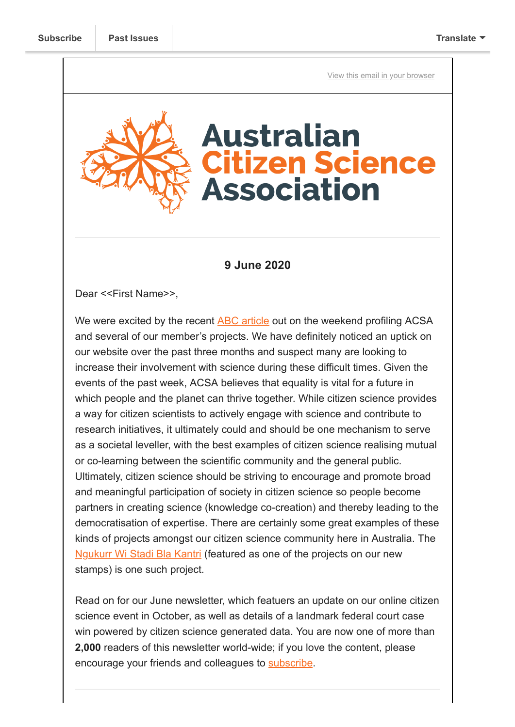[View this email in your browser](https://mailchi.mp/534f16ef69fc/acsa-news-our-online-event-stamp-giveaway-plus-a-court-win-for-possums?e=[UNIQID])

# **Australian itizen Science Association**

### **9 June 2020**

Dear <<First Name>>,

We were excited by the recent [ABC article](https://www.abc.net.au/news/science/2020-06-06/citizen-science-projects-ocean-odyssey/12292270) out on the weekend profiling ACSA and several of our member's projects. We have definitely noticed an uptick on our website over the past three months and suspect many are looking to increase their involvement with science during these difficult times. Given the events of the past week, ACSA believes that equality is vital for a future in which people and the planet can thrive together. While citizen science provides a way for citizen scientists to actively engage with science and contribute to research initiatives, it ultimately could and should be one mechanism to serve as a societal leveller, with the best examples of citizen science realising mutual or co-learning between the scientific community and the general public. Ultimately, citizen science should be striving to encourage and promote broad and meaningful participation of society in citizen science so people become partners in creating science (knowledge co-creation) and thereby leading to the democratisation of expertise. There are certainly some great examples of these kinds of projects amongst our citizen science community here in Australia. The [Ngukurr Wi Stadi Bla Kantri](https://www.mq.edu.au/about/about-the-university/faculties-and-departments/faculty-of-science-and-engineering/news-and-events/departmental-news/news/indigenous-and-western-science-caring-for-country) (featured as one of the projects on our new stamps) is one such project.

Read on for our June newsletter, which featuers an update on our online citizen science event in October, as well as details of a landmark federal court case win powered by citizen science generated data. You are now one of more than **2,000** readers of this newsletter world-wide; if you love the content, please encourage your friends and colleagues to [subscribe](https://citizenscience.org.au/join-the-newsletter/).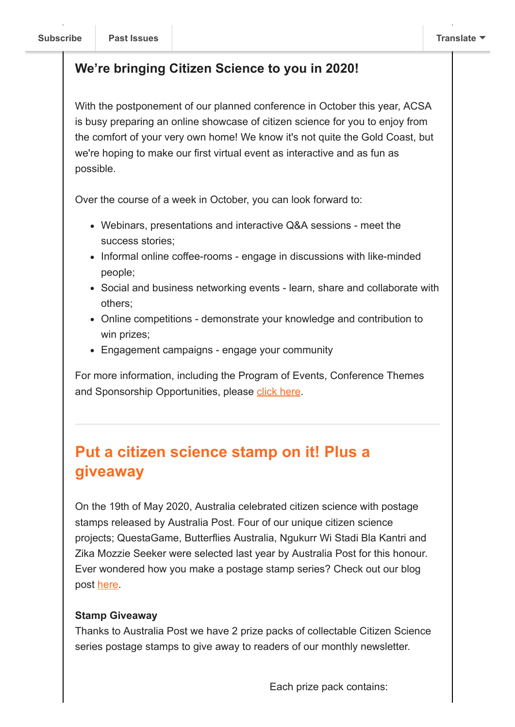### **We're bringing Citizen Science to you in 2020!**

With the postponement of our planned conference in October this year, ACSA is busy preparing an online showcase of citizen science for you to enjoy from the comfort of your very own home! We know it's not quite the Gold Coast, but we're hoping to make our first virtual event as interactive and as fun as possible.

Over the course of a week in October, you can look forward to:

- Webinars, presentations and interactive Q&A sessions meet the success stories;
- Informal online coffee-rooms engage in discussions with like-minded people;
- Social and business networking events learn, share and collaborate with others;
- Online competitions demonstrate your knowledge and contribution to win prizes;
- Engagement campaigns engage your community

For more information, including the Program of Events, Conference Themes and Sponsorship Opportunities, please [click here.](https://citizenscience.org.au/wp-content/uploads/2020/06/CitSciOnline2020_Prospectus.pdf)

# **Put a citizen science stamp on it! Plus a giveaway**

On the 19th of May 2020, Australia celebrated citizen science with postage stamps released by Australia Post. Four of our unique citizen science projects; QuestaGame, Butterflies Australia, Ngukurr Wi Stadi Bla Kantri and Zika Mozzie Seeker were selected last year by Australia Post for this honour. Ever wondered how you make a postage stamp series? Check out our blog post [here.](https://citizenscience.org.au/2020/05/19/putting-a-citizen-science-stamp-on-it/)

### **Stamp Giveaway**

Thanks to Australia Post we have 2 prize packs of collectable Citizen Science series postage stamps to give away to readers of our monthly newsletter.

Each prize pack contains: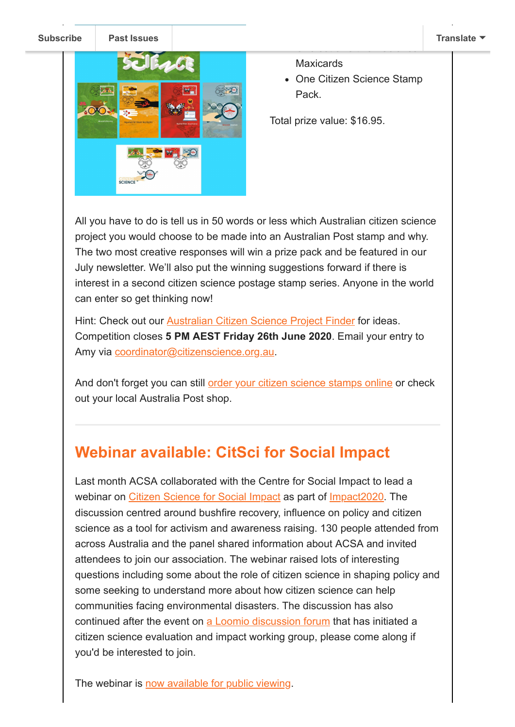**[Subscribe](http://eepurl.com/gr6ouP) [Past Issues](https://us9.campaign-archive.com/home/?u=bf6c4fb11671f5919db89feda&id=40b221ed15) [Translate](javascript:;)**



**Maxicards** 

• One Citizen Science Stamp Pack.

One set of Citizen Science

Total prize value: \$16.95.

All you have to do is tell us in 50 words or less which Australian citizen science project you would choose to be made into an Australian Post stamp and why. The two most creative responses will win a prize pack and be featured in our July newsletter. We'll also put the winning suggestions forward if there is interest in a second citizen science postage stamp series. Anyone in the world can enter so get thinking now!

Hint: Check out our [Australian Citizen Science Project Finder](https://citizenscience.org.au/ala-project-finder/) for ideas. Competition closes **5 PM AEST Friday 26th June 2020**. Email your entry to Amy via [coordinator@citizenscience.org.au](mailto:coordinator@citizenscience.org.au?subject=Stamp%20competition%20entry).

And don't forget you can still [order your citizen science stamps online](https://auspost.com.au/shop/collectables/stamp-issues/citizen-science) or check out your local Australia Post shop.

# **Webinar available: CitSci for Social Impact**

Last month ACSA collaborated with the Centre for Social Impact to lead a webinar on [Citizen Science for Social Impact](https://youtu.be/UkvP92mt6sI) as part of [Impact2020.](http://impact2020.online/) The discussion centred around bushfire recovery, influence on policy and citizen science as a tool for activism and awareness raising. 130 people attended from across Australia and the panel shared information about ACSA and invited attendees to join our association. The webinar raised lots of interesting questions including some about the role of citizen science in shaping policy and some seeking to understand more about how citizen science can help communities facing environmental disasters. The discussion has also continued after the event on [a Loomio discussion forum](https://protect-au.mimecast.com/s/y4HICROND2uPrKQ7HqcNEO?domain=loomio.scienceforall.world/) that has initiated a citizen science evaluation and impact working group, please come along if you'd be interested to join.

The webinar is [now available for public viewing.](https://youtu.be/UkvP92mt6sI)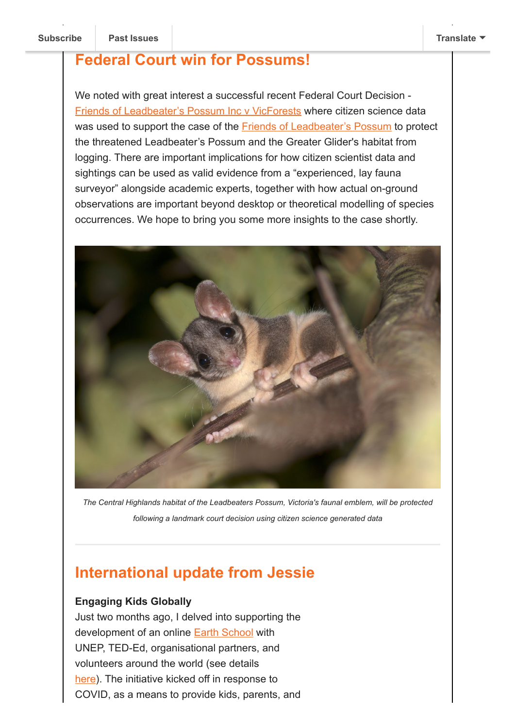# **Federal Court win for Possums!**

We noted with great interest a successful recent Federal Court Decision - [Friends of Leadbeater's Possum Inc v VicForests](https://www.envirojustice.org.au/projects/a-federal-court-win-for-our-possums/) where citizen science data was used to support the case of the **Friends of Leadbeater's Possum** to protect the threatened Leadbeater's Possum and the Greater Glider's habitat from logging. There are important implications for how citizen scientist data and sightings can be used as valid evidence from a "experienced, lay fauna surveyor" alongside academic experts, together with how actual on-ground observations are important beyond desktop or theoretical modelling of species occurrences. We hope to bring you some more insights to the case shortly.



*The Central Highlands habitat of the Leadbeaters Possum, Victoria's faunal emblem, will be protected following a landmark court decision using citizen science generated data*

# **International update from Jessie**

### **Engaging Kids Globally**

Just two months ago, I delved into supporting the development of an online **Earth School** with UNEP, TED-Ed, organisational partners, and volunteers around the world (see details [here\)](https://blog.ed.ted.com/2020/04/21/earth-school-launched-to-keep-students-connected-to-nature/). The initiative kicked off in response to COVID, as a means to provide kids, parents, and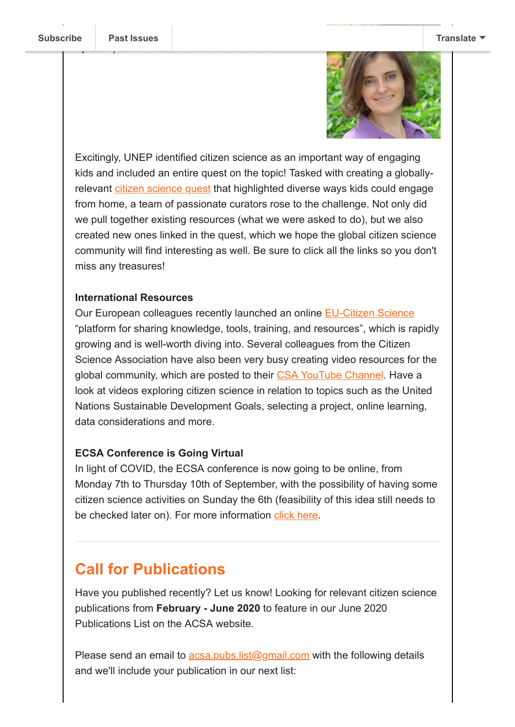"quests") to connect with nature from home.



Excitingly, UNEP identified citizen science as an important way of engaging kids and included an entire quest on the topic! Tasked with creating a globallyrelevant [citizen science quest](https://ed.ted.com/on/eg7qdmRQ?theme_id=earth-school) that highlighted diverse ways kids could engage from home, a team of passionate curators rose to the challenge. Not only did we pull together existing resources (what we were asked to do), but we also created new ones linked in the quest, which we hope the global citizen science community will find interesting as well. Be sure to click all the links so you don't miss any treasures!

### **International Resources**

Our European colleagues recently launched an online [EU-Citizen.Science](https://eu-citizen.science/) "platform for sharing knowledge, tools, training, and resources", which is rapidly growing and is well-worth diving into. Several colleagues from the Citizen Science Association have also been very busy creating video resources for the global community, which are posted to their [CSA YouTube Channel](https://www.youtube.com/channel/UChTgtIf9BqiEpWiczvH0jbA). Have a look at videos exploring citizen science in relation to topics such as the United Nations Sustainable Development Goals, selecting a project, online learning, data considerations and more.

### **ECSA Conference is Going Virtual**

In light of COVID, the ECSA conference is now going to be online, from Monday 7th to Thursday 10th of September, with the possibility of having some citizen science activities on Sunday the 6th (feasibility of this idea still needs to be checked later on). For more information [click here](https://www.ecsa-conference.eu/infos/information).

## **Call for Publications**

Have you published recently? Let us know! Looking for relevant citizen science publications from **February - June 2020** to feature in our June 2020 Publications List on the ACSA website.

Please send an email to  $\frac{acsa.pubs.list(0)gmail.com}{a}$  with the following details and we'll include your publication in our next list: